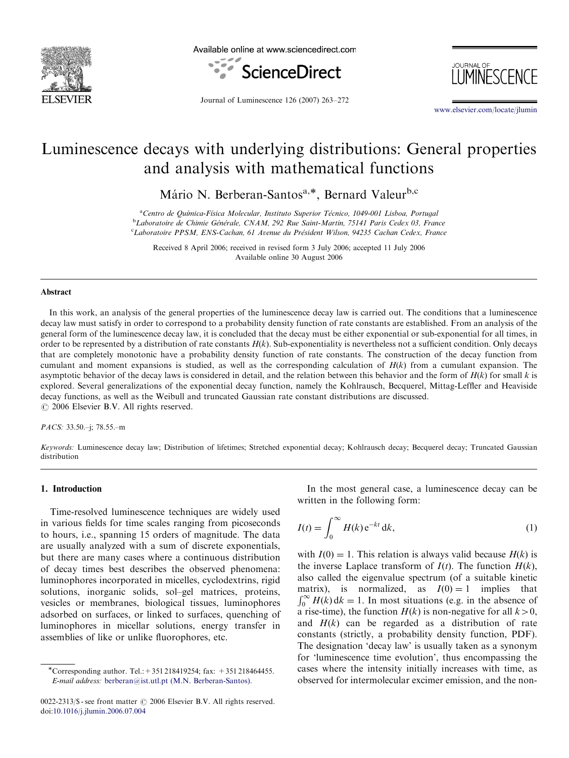

Available online at www.sciencedirect.com



Journal of Luminescence 126 (2007) 263–272

<www.elsevier.com/locate/jlumin>

# Luminescence decays with underlying distributions: General properties and analysis with mathematical functions

Mário N. Berberan-Santos<sup>a,\*</sup>, Bernard Valeur<sup>b,c</sup>

<sup>a</sup> Centro de Química-Física Molecular, Instituto Superior Técnico, 1049-001 Lisboa, Portugal <sup>b</sup>Laboratoire de Chimie Générale, CNAM, 292 Rue Saint-Martin, 75141 Paris Cedex 03, France <sup>c</sup>Laboratoire PPSM, ENS-Cachan, 61 Avenue du Président Wilson, 94235 Cachan Cedex, France

Received 8 April 2006; received in revised form 3 July 2006; accepted 11 July 2006 Available online 30 August 2006

#### Abstract

In this work, an analysis of the general properties of the luminescence decay law is carried out. The conditions that a luminescence decay law must satisfy in order to correspond to a probability density function of rate constants are established. From an analysis of the general form of the luminescence decay law, it is concluded that the decay must be either exponential or sub-exponential for all times, in order to be represented by a distribution of rate constants  $H(k)$ . Sub-exponentiality is nevertheless not a sufficient condition. Only decays that are completely monotonic have a probability density function of rate constants. The construction of the decay function from cumulant and moment expansions is studied, as well as the corresponding calculation of  $H(k)$  from a cumulant expansion. The asymptotic behavior of the decay laws is considered in detail, and the relation between this behavior and the form of  $H(k)$  for small k is explored. Several generalizations of the exponential decay function, namely the Kohlrausch, Becquerel, Mittag-Leffler and Heaviside decay functions, as well as the Weibull and truncated Gaussian rate constant distributions are discussed.  $C$  2006 Elsevier B.V. All rights reserved.

PACS: 33.50.–j; 78.55.–m

Keywords: Luminescence decay law; Distribution of lifetimes; Stretched exponential decay; Kohlrausch decay; Becquerel decay; Truncated Gaussian distribution

## 1. Introduction

Time-resolved luminescence techniques are widely used in various fields for time scales ranging from picoseconds to hours, i.e., spanning 15 orders of magnitude. The data are usually analyzed with a sum of discrete exponentials, but there are many cases where a continuous distribution of decay times best describes the observed phenomena: luminophores incorporated in micelles, cyclodextrins, rigid solutions, inorganic solids, sol–gel matrices, proteins, vesicles or membranes, biological tissues, luminophores adsorbed on surfaces, or linked to surfaces, quenching of luminophores in micellar solutions, energy transfer in assemblies of like or unlike fluorophores, etc.

In the most general case, a luminescence decay can be written in the following form:

$$
I(t) = \int_0^\infty H(k) e^{-kt} dk,
$$
\n(1)

with  $I(0) = 1$ . This relation is always valid because  $H(k)$  is the inverse Laplace transform of  $I(t)$ . The function  $H(k)$ , also called the eigenvalue spectrum (of a suitable kinetic matrix), is normalized, as  $I(0) = 1$  implies that  $\int_0^\infty H(k) \, dk = 1$ . In most situations (e.g. in the absence of a rise-time), the function  $H(k)$  is non-negative for all  $k>0$ , and  $H(k)$  can be regarded as a distribution of rate constants (strictly, a probability density function, PDF). The designation 'decay law' is usually taken as a synonym for 'luminescence time evolution', thus encompassing the cases where the intensity initially increases with time, as observed for intermolecular excimer emission, and the non-

<sup>-</sup>Corresponding author. Tel.:+351 218419254; fax: +351 218464455. E-mail address: [berberan@ist.utl.pt \(M.N. Berberan-Santos\).](mailto:berberan@ist.utl.pt)

 $0022 - 2313$ /\$ - see front matter  $\odot$  2006 Elsevier B.V. All rights reserved. doi:[10.1016/j.jlumin.2006.07.004](dx.doi.org/10.1016/j.jlumin.2006.07.004)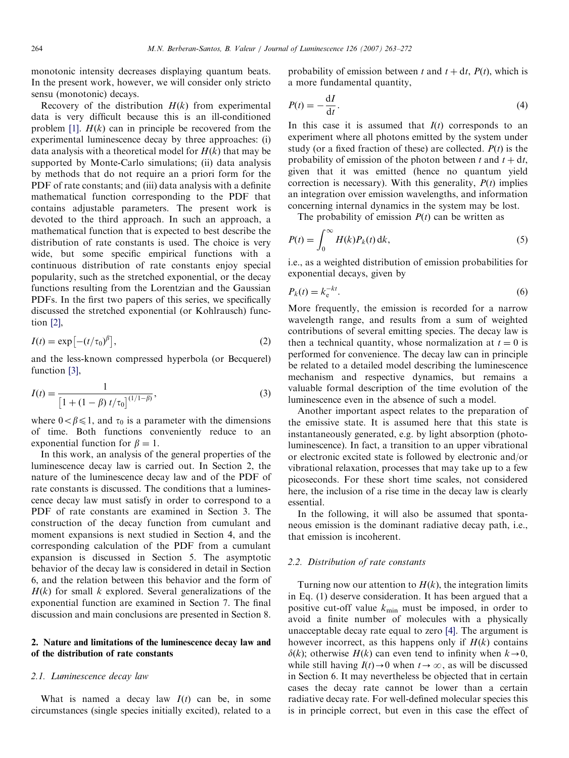monotonic intensity decreases displaying quantum beats. In the present work, however, we will consider only stricto sensu (monotonic) decays.

Recovery of the distribution  $H(k)$  from experimental data is very difficult because this is an ill-conditioned problem [\[1\].](#page-9-0)  $H(k)$  can in principle be recovered from the experimental luminescence decay by three approaches: (i) data analysis with a theoretical model for  $H(k)$  that may be supported by Monte-Carlo simulations; (ii) data analysis by methods that do not require an a priori form for the PDF of rate constants; and (iii) data analysis with a definite mathematical function corresponding to the PDF that contains adjustable parameters. The present work is devoted to the third approach. In such an approach, a mathematical function that is expected to best describe the distribution of rate constants is used. The choice is very wide, but some specific empirical functions with a continuous distribution of rate constants enjoy special popularity, such as the stretched exponential, or the decay functions resulting from the Lorentzian and the Gaussian PDFs. In the first two papers of this series, we specifically discussed the stretched exponential (or Kohlrausch) function [\[2\]](#page-9-0),

$$
I(t) = \exp\left[-\left(t/\tau_0\right)^{\beta}\right],\tag{2}
$$

and the less-known compressed hyperbola (or Becquerel) function [\[3\]](#page-9-0),

$$
I(t) = \frac{1}{\left[1 + (1 - \beta) t/\tau_0\right]^{(1/1 - \beta)}},\tag{3}
$$

where  $0 < \beta \leq 1$ , and  $\tau_0$  is a parameter with the dimensions of time. Both functions conveniently reduce to an exponential function for  $\beta = 1$ .

In this work, an analysis of the general properties of the luminescence decay law is carried out. In Section 2, the nature of the luminescence decay law and of the PDF of rate constants is discussed. The conditions that a luminescence decay law must satisfy in order to correspond to a PDF of rate constants are examined in Section 3. The construction of the decay function from cumulant and moment expansions is next studied in Section 4, and the corresponding calculation of the PDF from a cumulant expansion is discussed in Section 5. The asymptotic behavior of the decay law is considered in detail in Section 6, and the relation between this behavior and the form of  $H(k)$  for small k explored. Several generalizations of the exponential function are examined in Section 7. The final discussion and main conclusions are presented in Section 8.

## 2. Nature and limitations of the luminescence decay law and of the distribution of rate constants

## 2.1. Luminescence decay law

What is named a decay law  $I(t)$  can be, in some circumstances (single species initially excited), related to a probability of emission between t and  $t + dt$ ,  $P(t)$ , which is a more fundamental quantity,

$$
P(t) = -\frac{\mathrm{d}I}{\mathrm{d}t}.\tag{4}
$$

In this case it is assumed that  $I(t)$  corresponds to an experiment where all photons emitted by the system under study (or a fixed fraction of these) are collected.  $P(t)$  is the probability of emission of the photon between t and  $t + dt$ , given that it was emitted (hence no quantum yield correction is necessary). With this generality,  $P(t)$  implies an integration over emission wavelengths, and information concerning internal dynamics in the system may be lost.

The probability of emission  $P(t)$  can be written as

$$
P(t) = \int_0^\infty H(k)P_k(t) \, \mathrm{d}k,\tag{5}
$$

i.e., as a weighted distribution of emission probabilities for exponential decays, given by

$$
P_k(t) = k_e^{-kt}.\tag{6}
$$

More frequently, the emission is recorded for a narrow wavelength range, and results from a sum of weighted contributions of several emitting species. The decay law is then a technical quantity, whose normalization at  $t = 0$  is performed for convenience. The decay law can in principle be related to a detailed model describing the luminescence mechanism and respective dynamics, but remains a valuable formal description of the time evolution of the luminescence even in the absence of such a model.

Another important aspect relates to the preparation of the emissive state. It is assumed here that this state is instantaneously generated, e.g. by light absorption (photoluminescence). In fact, a transition to an upper vibrational or electronic excited state is followed by electronic and/or vibrational relaxation, processes that may take up to a few picoseconds. For these short time scales, not considered here, the inclusion of a rise time in the decay law is clearly essential.

In the following, it will also be assumed that spontaneous emission is the dominant radiative decay path, i.e., that emission is incoherent.

# 2.2. Distribution of rate constants

Turning now our attention to  $H(k)$ , the integration limits in Eq. (1) deserve consideration. It has been argued that a positive cut-off value  $k_{\text{min}}$  must be imposed, in order to avoid a finite number of molecules with a physically unacceptable decay rate equal to zero [\[4\].](#page-9-0) The argument is however incorrect, as this happens only if  $H(k)$  contains  $\delta(k)$ ; otherwise  $H(k)$  can even tend to infinity when  $k \rightarrow 0$ , while still having  $I(t) \rightarrow 0$  when  $t \rightarrow \infty$ , as will be discussed in Section 6. It may nevertheless be objected that in certain cases the decay rate cannot be lower than a certain radiative decay rate. For well-defined molecular species this is in principle correct, but even in this case the effect of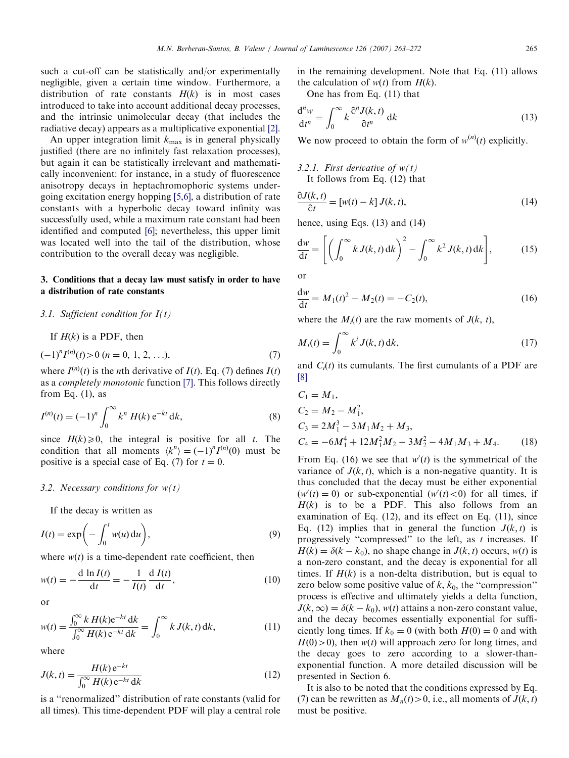such a cut-off can be statistically and/or experimentally negligible, given a certain time window. Furthermore, a distribution of rate constants  $H(k)$  is in most cases introduced to take into account additional decay processes, and the intrinsic unimolecular decay (that includes the radiative decay) appears as a multiplicative exponential [\[2\].](#page-9-0)

An upper integration limit  $k_{\text{max}}$  is in general physically justified (there are no infinitely fast relaxation processes), but again it can be statistically irrelevant and mathematically inconvenient: for instance, in a study of fluorescence anisotropy decays in heptachromophoric systems undergoing excitation energy hopping [\[5,6\],](#page-9-0) a distribution of rate constants with a hyperbolic decay toward infinity was successfully used, while a maximum rate constant had been identified and computed [\[6\]](#page-9-0); nevertheless, this upper limit was located well into the tail of the distribution, whose contribution to the overall decay was negligible.

## 3. Conditions that a decay law must satisfy in order to have a distribution of rate constants

#### 3.1. Sufficient condition for  $I(t)$

If  $H(k)$  is a PDF, then

$$
(-1)^n I^{(n)}(t) > 0 \ (n = 0, \ 1, \ 2, \ \ldots), \tag{7}
$$

where  $I^{(n)}(t)$  is the *n*th derivative of  $I(t)$ . Eq. (7) defines  $I(t)$ as a completely monotonic function [\[7\]](#page-9-0). This follows directly from Eq.  $(1)$ , as

$$
I^{(n)}(t) = (-1)^n \int_0^\infty k^n H(k) e^{-kt} dk,
$$
\n(8)

since  $H(k) \ge 0$ , the integral is positive for all t. The condition that all moments  $\langle k^n \rangle = (-1)^n I^{(n)}(0)$  must be positive is a special case of Eq. (7) for  $t = 0$ .

# 3.2. Necessary conditions for  $w(t)$

If the decay is written as

$$
I(t) = \exp\bigg(-\int_0^t w(u) \, \mathrm{d}u\bigg),\tag{9}
$$

where  $w(t)$  is a time-dependent rate coefficient, then

$$
w(t) = -\frac{d \ln I(t)}{dt} = -\frac{1}{I(t)} \frac{d I(t)}{dt},
$$
\n(10)

or

$$
w(t) = \frac{\int_0^\infty k H(k) e^{-kt} dk}{\int_0^\infty H(k) e^{-kt} dk} = \int_0^\infty k J(k, t) dk,
$$
 (11)

where

$$
J(k,t) = \frac{H(k) e^{-kt}}{\int_0^\infty H(k) e^{-kt} dk}
$$
 (12)

is a ''renormalized'' distribution of rate constants (valid for all times). This time-dependent PDF will play a central role in the remaining development. Note that Eq. (11) allows the calculation of  $w(t)$  from  $H(k)$ .

One has from Eq. (11) that

$$
\frac{d^n w}{dt^n} = \int_0^\infty k \frac{\partial^n J(k,t)}{\partial t^n} dk
$$
\n(13)

We now proceed to obtain the form of  $w^{(n)}(t)$  explicitly.

# 3.2.1. First derivative of  $w(t)$

It follows from Eq. (12) that

$$
\frac{\partial J(k,t)}{\partial t} = [w(t) - k] J(k,t), \qquad (14)
$$

hence, using Eqs. (13) and (14)

$$
\frac{dw}{dt} = \left[ \left( \int_0^\infty k J(k, t) \, dk \right)^2 - \int_0^\infty k^2 J(k, t) \, dk \right],\tag{15}
$$

or

$$
\frac{dw}{dt} = M_1(t)^2 - M_2(t) = -C_2(t),
$$
\n(16)

where the  $M_i(t)$  are the raw moments of  $J(k, t)$ ,

$$
M_i(t) = \int_0^\infty k^i J(k, t) \, \mathrm{d}k,\tag{17}
$$

and  $C_i(t)$  its cumulants. The first cumulants of a PDF are [\[8\]](#page-9-0)

$$
C_1 = M_1,
$$
  
\n
$$
C_2 = M_2 - M_1^2,
$$
  
\n
$$
C_3 = 2M_1^3 - 3M_1M_2 + M_3,
$$
  
\n
$$
C_4 = -6M_1^4 + 12M_1^2M_2 - 3M_2^2 - 4M_1M_3 + M_4.
$$
 (18)

From Eq. (16) we see that  $w'(t)$  is the symmetrical of the variance of  $J(k, t)$ , which is a non-negative quantity. It is thus concluded that the decay must be either exponential  $(w'(t) = 0)$  or sub-exponential  $(w'(t) < 0)$  for all times, if  $H(k)$  is to be a PDF. This also follows from an examination of Eq. (12), and its effect on Eq. (11), since Eq. (12) implies that in general the function  $J(k, t)$  is progressively "compressed" to the left, as  $t$  increases. If  $H(k) = \delta(k - k_0)$ , no shape change in  $J(k, t)$  occurs,  $w(t)$  is a non-zero constant, and the decay is exponential for all times. If  $H(k)$  is a non-delta distribution, but is equal to zero below some positive value of  $k, k_0$ , the "compression" process is effective and ultimately yields a delta function,  $J(k,\infty) = \delta(k - k_0)$ , w(t) attains a non-zero constant value, and the decay becomes essentially exponential for sufficiently long times. If  $k_0 = 0$  (with both  $H(0) = 0$  and with  $H(0) > 0$ , then w(t) will approach zero for long times, and the decay goes to zero according to a slower-thanexponential function. A more detailed discussion will be presented in Section 6.

It is also to be noted that the conditions expressed by Eq. (7) can be rewritten as  $M_n(t) > 0$ , i.e., all moments of  $J(k, t)$ must be positive.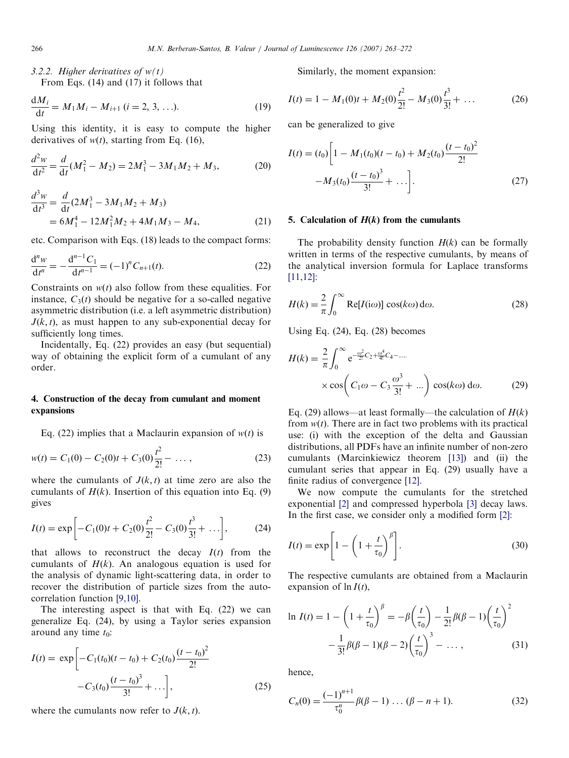#### 3.2.2. Higher derivatives of  $w(t)$

From Eqs. (14) and (17) it follows that

$$
\frac{dM_i}{dt} = M_1 M_i - M_{i+1} \ (i = 2, 3, \ldots).
$$
 (19)

Using this identity, it is easy to compute the higher derivatives of  $w(t)$ , starting from Eq. (16),

$$
\frac{d^2w}{dt^2} = \frac{d}{dt}(M_1^2 - M_2) = 2M_1^3 - 3M_1M_2 + M_3,\tag{20}
$$

$$
\frac{d^3 w}{dt^3} = \frac{d}{dt} (2M_1^3 - 3M_1M_2 + M_3)
$$
  
=  $6M_1^4 - 12M_1^2M_2 + 4M_1M_3 - M_4,$  (21)

etc. Comparison with Eqs. (18) leads to the compact forms:

$$
\frac{d^n w}{dt^n} = -\frac{d^{n-1}C_1}{dt^{n-1}} = (-1)^n C_{n+1}(t).
$$
 (22)

Constraints on  $w(t)$  also follow from these equalities. For instance,  $C_3(t)$  should be negative for a so-called negative asymmetric distribution (i.e. a left asymmetric distribution)  $J(k, t)$ , as must happen to any sub-exponential decay for sufficiently long times.

Incidentally, Eq. (22) provides an easy (but sequential) way of obtaining the explicit form of a cumulant of any order.

## 4. Construction of the decay from cumulant and moment expansions

Eq. (22) implies that a Maclaurin expansion of  $w(t)$  is

$$
w(t) = C_1(0) - C_2(0)t + C_3(0)\frac{t^2}{2!} - \dots,
$$
\n(23)

where the cumulants of  $J(k, t)$  at time zero are also the cumulants of  $H(k)$ . Insertion of this equation into Eq. (9) gives

$$
I(t) = \exp\left[-C_1(0)t + C_2(0)\frac{t^2}{2!} - C_3(0)\frac{t^3}{3!} + \ldots\right],
$$
 (24)

that allows to reconstruct the decay  $I(t)$  from the cumulants of  $H(k)$ . An analogous equation is used for the analysis of dynamic light-scattering data, in order to recover the distribution of particle sizes from the autocorrelation function [\[9,10\].](#page-9-0)

The interesting aspect is that with Eq. (22) we can generalize Eq. (24), by using a Taylor series expansion around any time  $t_0$ :

$$
I(t) = \exp\left[-C_1(t_0)(t - t_0) + C_2(t_0)\frac{(t - t_0)^2}{2!} - C_3(t_0)\frac{(t - t_0)^3}{3!} + \ldots\right],
$$
\n(25)

where the cumulants now refer to  $J(k, t)$ .

Similarly, the moment expansion:

$$
I(t) = 1 - M_1(0)t + M_2(0)\frac{t^2}{2!} - M_3(0)\frac{t^3}{3!} + \dots
$$
 (26)

can be generalized to give

$$
I(t) = (t_0) \left[ 1 - M_1(t_0)(t - t_0) + M_2(t_0) \frac{(t - t_0)^2}{2!} - M_3(t_0) \frac{(t - t_0)^3}{3!} + \dots \right].
$$
 (27)

#### 5. Calculation of  $H(k)$  from the cumulants

The probability density function  $H(k)$  can be formally written in terms of the respective cumulants, by means of the analytical inversion formula for Laplace transforms [\[11,12\]:](#page-9-0)

$$
H(k) = \frac{2}{\pi} \int_0^\infty \text{Re}[I(i\omega)] \cos(k\omega) d\omega.
$$
 (28)

Using Eq. (24), Eq. (28) becomes

$$
H(k) = \frac{2}{\pi} \int_0^\infty e^{-\frac{\omega^2}{2!}C_2 + \frac{\omega^4}{4!}C_4 - \dots} \times \cos\left(C_1\omega - C_3\frac{\omega^3}{3!} + \dots\right) \cos(k\omega) d\omega.
$$
 (29)

Eq. (29) allows—at least formally—the calculation of  $H(k)$ from  $w(t)$ . There are in fact two problems with its practical use: (i) with the exception of the delta and Gaussian distributions, all PDFs have an infinite number of non-zero cumulants (Marcinkiewicz theorem [\[13\]](#page-9-0)) and (ii) the cumulant series that appear in Eq. (29) usually have a finite radius of convergence [\[12\]](#page-9-0).

We now compute the cumulants for the stretched exponential [\[2\]](#page-9-0) and compressed hyperbola [\[3\]](#page-9-0) decay laws. In the first case, we consider only a modified form [\[2\]:](#page-9-0)

$$
I(t) = \exp\left[1 - \left(1 + \frac{t}{\tau_0}\right)^{\beta}\right].
$$
 (30)

The respective cumulants are obtained from a Maclaurin expansion of  $\ln I(t)$ ,

$$
\ln I(t) = 1 - \left(1 + \frac{t}{\tau_0}\right)^{\beta} = -\beta \left(\frac{t}{\tau_0}\right) - \frac{1}{2!} \beta(\beta - 1) \left(\frac{t}{\tau_0}\right)^2 - \frac{1}{3!} \beta(\beta - 1)(\beta - 2) \left(\frac{t}{\tau_0}\right)^3 - \dots,
$$
\n(31)

hence,

$$
C_n(0) = \frac{(-1)^{n+1}}{\tau_0^n} \beta(\beta - 1) \dots (\beta - n + 1).
$$
 (32)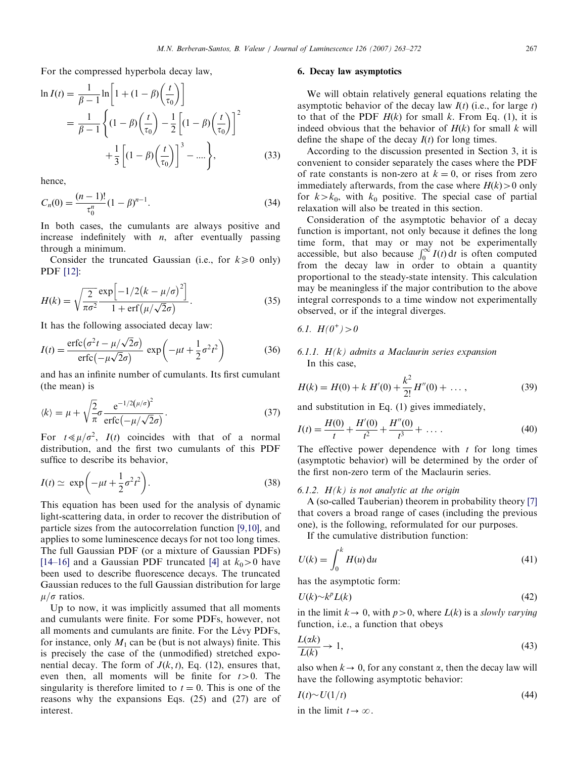For the compressed hyperbola decay law,

$$
\ln I(t) = \frac{1}{\beta - 1} \ln \left[ 1 + (1 - \beta) \left( \frac{t}{\tau_0} \right) \right]
$$
  
= 
$$
\frac{1}{\beta - 1} \left\{ (1 - \beta) \left( \frac{t}{\tau_0} \right) - \frac{1}{2} \left[ (1 - \beta) \left( \frac{t}{\tau_0} \right) \right]^2
$$
  
+ 
$$
\frac{1}{3} \left[ (1 - \beta) \left( \frac{t}{\tau_0} \right) \right]^3 - \dots \right\},
$$
(33)

hence,

$$
C_n(0) = \frac{(n-1)!}{\tau_0^n} (1 - \beta)^{n-1}.
$$
\n(34)

In both cases, the cumulants are always positive and increase indefinitely with  $n$ , after eventually passing through a minimum.

Consider the truncated Gaussian (i.e., for  $k\geq0$  only) PDF [\[12\]](#page-9-0):

$$
H(k) = \sqrt{\frac{2}{\pi \sigma^2}} \frac{\exp \left[ -1/2 \left( k - \mu/\sigma \right)^2 \right]}{1 + \text{erf} \left( \mu/\sqrt{2} \sigma \right)}.
$$
 (35)

It has the following associated decay law:

$$
I(t) = \frac{\text{erfc}(\sigma^2 t - \mu/\sqrt{2}\sigma)}{\text{erfc}(-\mu\sqrt{2}\sigma)} \exp\left(-\mu t + \frac{1}{2}\sigma^2 t^2\right)
$$
(36)

and has an infinite number of cumulants. Its first cumulant (the mean) is

$$
\langle k \rangle = \mu + \sqrt{\frac{2}{\pi}} \sigma \frac{e^{-1/2(\mu/\sigma)^2}}{\text{erfc}\left(-\mu/\sqrt{2}\sigma\right)}.
$$
\n(37)

For  $t \ll u/\sigma^2$ ,  $I(t)$  coincides with that of a normal distribution, and the first two cumulants of this PDF suffice to describe its behavior,

$$
I(t) \simeq \exp\left(-\mu t + \frac{1}{2}\sigma^2 t^2\right).
$$
 (38)

This equation has been used for the analysis of dynamic light-scattering data, in order to recover the distribution of particle sizes from the autocorrelation function [\[9,10\],](#page-9-0) and applies to some luminescence decays for not too long times. The full Gaussian PDF (or a mixture of Gaussian PDFs) [\[14–16\]](#page-9-0) and a Gaussian PDF truncated [\[4\]](#page-9-0) at  $k_0 > 0$  have been used to describe fluorescence decays. The truncated Gaussian reduces to the full Gaussian distribution for large  $\mu/\sigma$  ratios.

Up to now, it was implicitly assumed that all moments and cumulants were finite. For some PDFs, however, not all moments and cumulants are finite. For the Lévy PDFs, for instance, only  $M_1$  can be (but is not always) finite. This is precisely the case of the (unmodified) stretched exponential decay. The form of  $J(k, t)$ , Eq. (12), ensures that, even then, all moments will be finite for  $t>0$ . The singularity is therefore limited to  $t = 0$ . This is one of the reasons why the expansions Eqs. (25) and (27) are of interest.

#### 6. Decay law asymptotics

We will obtain relatively general equations relating the asymptotic behavior of the decay law  $I(t)$  (i.e., for large t) to that of the PDF  $H(k)$  for small k. From Eq. (1), it is indeed obvious that the behavior of  $H(k)$  for small k will define the shape of the decay  $I(t)$  for long times.

According to the discussion presented in Section 3, it is convenient to consider separately the cases where the PDF of rate constants is non-zero at  $k = 0$ , or rises from zero immediately afterwards, from the case where  $H(k) > 0$  only for  $k > k_0$ , with  $k_0$  positive. The special case of partial relaxation will also be treated in this section.

Consideration of the asymptotic behavior of a decay function is important, not only because it defines the long time form, that may or may not be experimentally accessible, but also because  $\int_0^\infty I(t) dt$  is often computed from the decay law in order to obtain a quantity proportional to the steady-state intensity. This calculation may be meaningless if the major contribution to the above integral corresponds to a time window not experimentally observed, or if the integral diverges.

6.1. 
$$
H(0^+) > 0
$$

6.1.1.  $H(k)$  admits a Maclaurin series expansion In this case,

$$
H(k) = H(0) + k H'(0) + \frac{k^2}{2!} H''(0) + \dots,
$$
 (39)

and substitution in Eq. (1) gives immediately,

$$
I(t) = \frac{H(0)}{t} + \frac{H'(0)}{t^2} + \frac{H''(0)}{t^3} + \dots
$$
 (40)

The effective power dependence with  $t$  for long times (asymptotic behavior) will be determined by the order of the first non-zero term of the Maclaurin series.

## 6.1.2.  $H(k)$  is not analytic at the origin

A (so-called Tauberian) theorem in probability theory [\[7\]](#page-9-0) that covers a broad range of cases (including the previous one), is the following, reformulated for our purposes.

If the cumulative distribution function:

$$
U(k) = \int_0^k H(u) \, \mathrm{d}u \tag{41}
$$

has the asymptotic form:

$$
U(k) \sim k^p L(k) \tag{42}
$$

in the limit  $k \to 0$ , with  $p>0$ , where  $L(k)$  is a slowly varying function, i.e., a function that obeys

$$
\frac{L(\alpha k)}{L(k)} \to 1,\tag{43}
$$

also when  $k \to 0$ , for any constant  $\alpha$ , then the decay law will have the following asymptotic behavior:

$$
I(t) \sim U(1/t) \tag{44}
$$

in the limit 
$$
t \to \infty
$$
.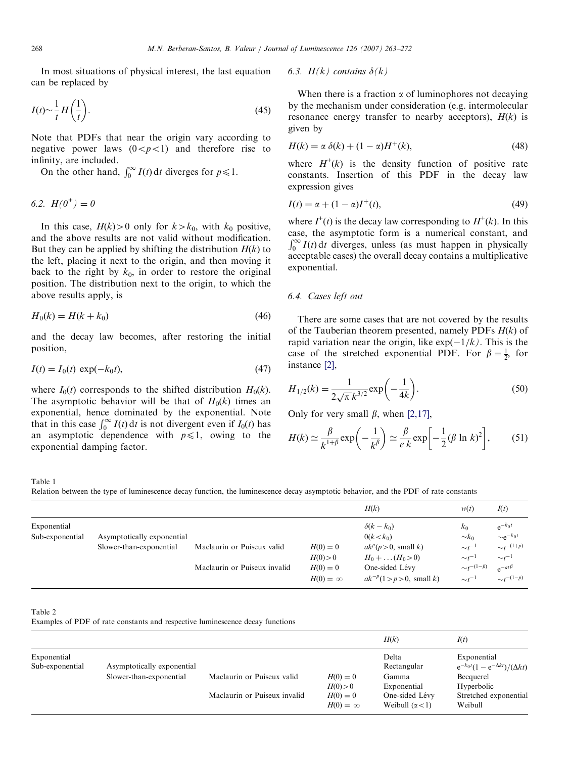<span id="page-5-0"></span>In most situations of physical interest, the last equation can be replaced by

$$
I(t) \sim \frac{1}{t} H\left(\frac{1}{t}\right). \tag{45}
$$

Note that PDFs that near the origin vary according to negative power laws  $(0 < p < 1)$  and therefore rise to infinity, are included.

On the other hand,  $\int_0^\infty I(t) dt$  diverges for  $p \leq 1$ .

6.2. 
$$
H(0^+) = 0
$$

In this case,  $H(k) > 0$  only for  $k > k_0$ , with  $k_0$  positive, and the above results are not valid without modification. But they can be applied by shifting the distribution  $H(k)$  to the left, placing it next to the origin, and then moving it back to the right by  $k_0$ , in order to restore the original position. The distribution next to the origin, to which the above results apply, is

$$
H_0(k) = H(k + k_0)
$$
\n(46)

and the decay law becomes, after restoring the initial position,

$$
I(t) = I_0(t) \exp(-k_0 t),
$$
\n(47)

where  $I_0(t)$  corresponds to the shifted distribution  $H_0(k)$ . The asymptotic behavior will be that of  $H_0(k)$  times an exponential, hence dominated by the exponential. Note that in this case  $\int_0^\infty I(t) dt$  is not divergent even if  $I_0(t)$  has an asymptotic dependence with  $p \leq 1$ , owing to the exponential damping factor.

#### 6.3.  $H(k)$  contains  $\delta(k)$

When there is a fraction  $\alpha$  of luminophores not decaying by the mechanism under consideration (e.g. intermolecular resonance energy transfer to nearby acceptors),  $H(k)$  is given by

$$
H(k) = \alpha \delta(k) + (1 - \alpha)H^{+}(k),
$$
\n(48)

where  $H^+(k)$  is the density function of positive rate constants. Insertion of this PDF in the decay law expression gives

$$
I(t) = \alpha + (1 - \alpha)I^{+}(t),\tag{49}
$$

where  $\overline{I}^+(t)$  is the decay law corresponding to  $\overline{H}^+(k)$ . In this case, the asymptotic form is a numerical constant, and  $\int_0^\infty I(t) dt$  diverges, unless (as must happen in physically acceptable cases) the overall decay contains a multiplicative exponential.

#### 6.4. Cases left out

There are some cases that are not covered by the results of the Tauberian theorem presented, namely PDFs  $H(k)$  of rapid variation near the origin, like  $exp(-1/k)$ . This is the case of the stretched exponential PDF. For  $\beta = \frac{1}{2}$ , for instance [\[2\]](#page-9-0),

$$
H_{1/2}(k) = \frac{1}{2\sqrt{\pi}k^{3/2}} \exp\left(-\frac{1}{4k}\right).
$$
 (50)

Only for very small  $\beta$ , when [\[2,17\],](#page-9-0)

$$
H(k) \simeq \frac{\beta}{k^{1+\beta}} \exp\left(-\frac{1}{k^{\beta}}\right) \simeq \frac{\beta}{e k} \exp\left[-\frac{1}{2}(\beta \ln k)^2\right],\tag{51}
$$

Table 1

Relation between the type of luminescence decay function, the luminescence decay asymptotic behavior, and the PDF of rate constants

|                                |                                                       |                                                            |                                                         | H(k)                                                                                                                                             | w(t)                                                                                            | I(t)                                                                                                           |
|--------------------------------|-------------------------------------------------------|------------------------------------------------------------|---------------------------------------------------------|--------------------------------------------------------------------------------------------------------------------------------------------------|-------------------------------------------------------------------------------------------------|----------------------------------------------------------------------------------------------------------------|
| Exponential<br>Sub-exponential | Asymptotically exponential<br>Slower-than-exponential | Maclaurin or Puiseux valid<br>Maclaurin or Puiseux invalid | $H(0) = 0$<br>H(0) > 0<br>$H(0) = 0$<br>$H(0) = \infty$ | $\delta(k-k_0)$<br>$0(k < k_0)$<br>$ak^p(p>0, \text{ small } k)$<br>$H_0 + \ldots (H_0 > 0)$<br>One-sided Lévy<br>$ak^{-p}(1 > p > 0$ , small k) | $k_0$<br>$\sim k_0$<br>$\sim t^{-1}$<br>$\sim t^{-1}$<br>$\sim t^{-(1-\beta)}$<br>$\sim t^{-1}$ | $e^{-k_0 t}$<br>$\sim e^{-k_0 t}$<br>$\sim t^{-(1+p)}$<br>$\sim t^{-1}$<br>$e^{-at\beta}$<br>$\sim t^{-(1-p)}$ |

Table 2

Examples of PDF of rate constants and respective luminescence decay functions

|                                |                            |                              |                               | H(k)                                                         | I(t)                             |
|--------------------------------|----------------------------|------------------------------|-------------------------------|--------------------------------------------------------------|----------------------------------|
| Exponential<br>Sub-exponential | Asymptotically exponential |                              | Delta<br>Rectangular          | Exponential<br>$e^{-k_0 t} (1 - e^{-\Delta kt})/(\Delta kt)$ |                                  |
|                                | Slower-than-exponential    | Maclaurin or Puiseux valid   | $H(0) = 0$<br>H(0) > 0        | Gamma<br>Exponential                                         | Becquerel<br>Hyperbolic          |
|                                |                            | Maclaurin or Puiseux invalid | $H(0) = 0$<br>$H(0) = \infty$ | One-sided Lévy<br>Weibull $(\alpha < 1)$                     | Stretched exponential<br>Weibull |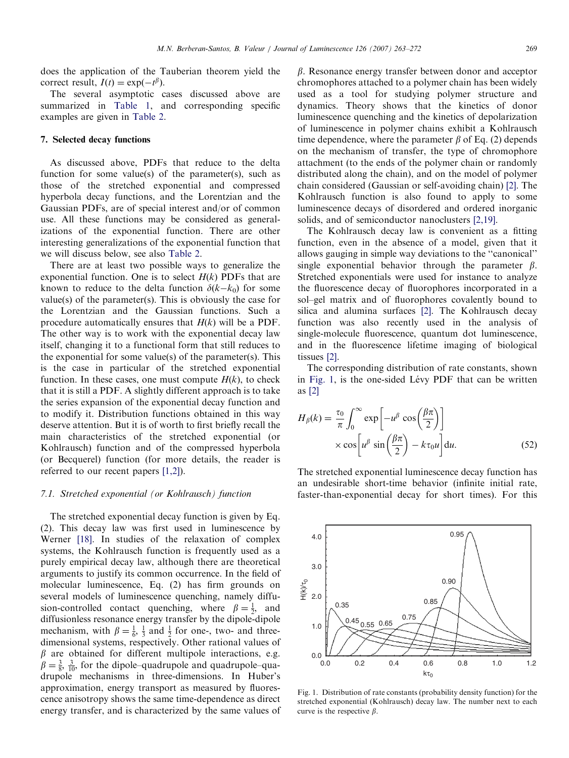does the application of the Tauberian theorem yield the correct result,  $I(t) = \exp(-t^{\beta}).$ 

The several asymptotic cases discussed above are summarized in [Table 1](#page-5-0), and corresponding specific examples are given in [Table 2](#page-5-0).

#### 7. Selected decay functions

As discussed above, PDFs that reduce to the delta function for some value(s) of the parameter(s), such as those of the stretched exponential and compressed hyperbola decay functions, and the Lorentzian and the Gaussian PDFs, are of special interest and/or of common use. All these functions may be considered as generalizations of the exponential function. There are other interesting generalizations of the exponential function that we will discuss below, see also [Table 2](#page-5-0).

There are at least two possible ways to generalize the exponential function. One is to select  $H(k)$  PDFs that are known to reduce to the delta function  $\delta(k-k_0)$  for some value(s) of the parameter(s). This is obviously the case for the Lorentzian and the Gaussian functions. Such a procedure automatically ensures that  $H(k)$  will be a PDF. The other way is to work with the exponential decay law itself, changing it to a functional form that still reduces to the exponential for some value(s) of the parameter(s). This is the case in particular of the stretched exponential function. In these cases, one must compute  $H(k)$ , to check that it is still a PDF. A slightly different approach is to take the series expansion of the exponential decay function and to modify it. Distribution functions obtained in this way deserve attention. But it is of worth to first briefly recall the main characteristics of the stretched exponential (or Kohlrausch) function and of the compressed hyperbola (or Becquerel) function (for more details, the reader is referred to our recent papers [\[1,2\]](#page-9-0)).

#### 7.1. Stretched exponential (or Kohlrausch) function

The stretched exponential decay function is given by Eq. (2). This decay law was first used in luminescence by Werner [\[18\]](#page-9-0). In studies of the relaxation of complex systems, the Kohlrausch function is frequently used as a purely empirical decay law, although there are theoretical arguments to justify its common occurrence. In the field of molecular luminescence, Eq. (2) has firm grounds on several models of luminescence quenching, namely diffusion-controlled contact quenching, where  $\beta = \frac{1}{2}$ , and diffusionless resonance energy transfer by the dipole-dipole mechanism, with  $\beta = \frac{1}{6}$ ,  $\frac{1}{3}$  and  $\frac{1}{2}$  for one-, two- and threedimensional systems, respectively. Other rational values of  $\beta$  are obtained for different multipole interactions, e.g.  $\beta = \frac{3}{8}, \frac{3}{10}$ , for the dipole–quadrupole and quadrupole–quadrupole mechanisms in three-dimensions. In Huber's approximation, energy transport as measured by fluorescence anisotropy shows the same time-dependence as direct energy transfer, and is characterized by the same values of  $\beta$ . Resonance energy transfer between donor and acceptor chromophores attached to a polymer chain has been widely used as a tool for studying polymer structure and dynamics. Theory shows that the kinetics of donor luminescence quenching and the kinetics of depolarization of luminescence in polymer chains exhibit a Kohlrausch time dependence, where the parameter  $\beta$  of Eq. (2) depends on the mechanism of transfer, the type of chromophore attachment (to the ends of the polymer chain or randomly distributed along the chain), and on the model of polymer chain considered (Gaussian or self-avoiding chain) [\[2\].](#page-9-0) The Kohlrausch function is also found to apply to some luminescence decays of disordered and ordered inorganic solids, and of semiconductor nanoclusters [\[2,19\].](#page-9-0)

The Kohlrausch decay law is convenient as a fitting function, even in the absence of a model, given that it allows gauging in simple way deviations to the ''canonical'' single exponential behavior through the parameter  $\beta$ . Stretched exponentials were used for instance to analyze the fluorescence decay of fluorophores incorporated in a sol–gel matrix and of fluorophores covalently bound to silica and alumina surfaces [\[2\]](#page-9-0). The Kohlrausch decay function was also recently used in the analysis of single-molecule fluorescence, quantum dot luminescence, and in the fluorescence lifetime imaging of biological tissues [\[2\].](#page-9-0)

The corresponding distribution of rate constants, shown in Fig. 1, is the one-sided Lévy PDF that can be written as [\[2\]](#page-9-0)

$$
H_{\beta}(k) = \frac{\tau_0}{\pi} \int_0^{\infty} \exp\left[-u^{\beta} \cos\left(\frac{\beta \pi}{2}\right)\right]
$$

$$
\times \cos\left[u^{\beta} \sin\left(\frac{\beta \pi}{2}\right) - k\tau_0 u\right] du.
$$
 (52)

The stretched exponential luminescence decay function has an undesirable short-time behavior (infinite initial rate, faster-than-exponential decay for short times). For this



Fig. 1. Distribution of rate constants (probability density function) for the stretched exponential (Kohlrausch) decay law. The number next to each curve is the respective  $\beta$ .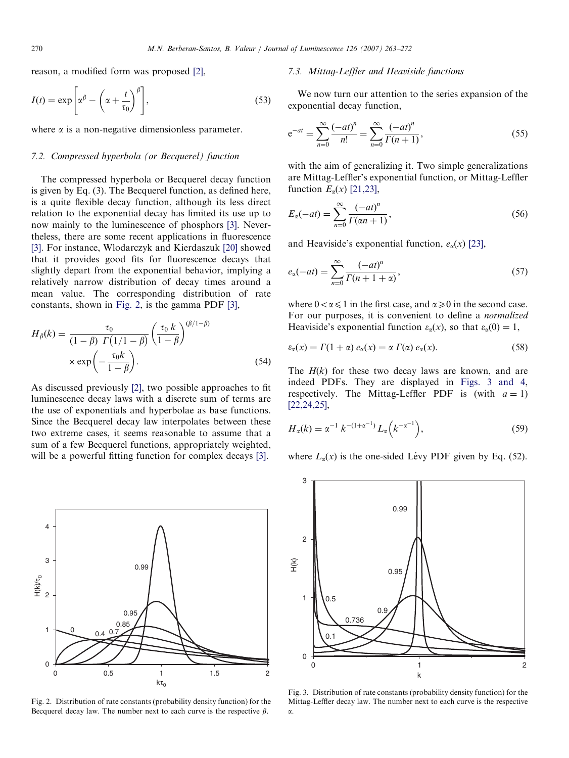reason, a modified form was proposed [\[2\],](#page-9-0)

$$
I(t) = \exp\left[\alpha^{\beta} - \left(\alpha + \frac{t}{\tau_0}\right)^{\beta}\right],
$$
\n(53)

where  $\alpha$  is a non-negative dimensionless parameter.

#### 7.2. Compressed hyperbola (or Becquerel) function

The compressed hyperbola or Becquerel decay function is given by Eq. (3). The Becquerel function, as defined here, is a quite flexible decay function, although its less direct relation to the exponential decay has limited its use up to now mainly to the luminescence of phosphors [\[3\]](#page-9-0). Nevertheless, there are some recent applications in fluorescence [\[3\]](#page-9-0). For instance, Wlodarczyk and Kierdaszuk [\[20\]](#page-9-0) showed that it provides good fits for fluorescence decays that slightly depart from the exponential behavior, implying a relatively narrow distribution of decay times around a mean value. The corresponding distribution of rate constants, shown in Fig. 2, is the gamma PDF [\[3\]](#page-9-0),

$$
H_{\beta}(k) = \frac{\tau_0}{(1-\beta) \Gamma(1/1-\beta)} \left(\frac{\tau_0 k}{1-\beta}\right)^{(\beta/1-\beta)}
$$

$$
\times \exp\left(-\frac{\tau_0 k}{1-\beta}\right). \tag{54}
$$

As discussed previously [\[2\]](#page-9-0), two possible approaches to fit luminescence decay laws with a discrete sum of terms are the use of exponentials and hyperbolae as base functions. Since the Becquerel decay law interpolates between these two extreme cases, it seems reasonable to assume that a sum of a few Becquerel functions, appropriately weighted, will be a powerful fitting function for complex decays [\[3\].](#page-9-0)



Fig. 2. Distribution of rate constants (probability density function) for the Becquerel decay law. The number next to each curve is the respective  $\beta$ .

## 7.3. Mittag-Leffler and Heaviside functions

We now turn our attention to the series expansion of the exponential decay function,

$$
e^{-at} = \sum_{n=0}^{\infty} \frac{(-at)^n}{n!} = \sum_{n=0}^{\infty} \frac{(-at)^n}{\Gamma(n+1)},
$$
\n(55)

with the aim of generalizing it. Two simple generalizations are Mittag-Leffler's exponential function, or Mittag-Leffler function  $E_{\alpha}(x)$  [\[21,23\],](#page-9-0)

$$
E_{\alpha}(-at) = \sum_{n=0}^{\infty} \frac{(-at)^n}{\Gamma(\alpha n + 1)},
$$
\n(56)

and Heaviside's exponential function,  $e_{\alpha}(x)$  [\[23\]](#page-9-0),

$$
e_{\alpha}(-at) = \sum_{n=0}^{\infty} \frac{(-at)^n}{\Gamma(n+1+\alpha)},
$$
\n(57)

where  $0 < \alpha \leq 1$  in the first case, and  $\alpha \geq 0$  in the second case. For our purposes, it is convenient to define a normalized Heaviside's exponential function  $\varepsilon_{\alpha}(x)$ , so that  $\varepsilon_{\alpha}(0) = 1$ ,

$$
\varepsilon_{\alpha}(x) = \Gamma(1 + \alpha) \, e_{\alpha}(x) = \alpha \, \Gamma(\alpha) \, e_{\alpha}(x). \tag{58}
$$

The  $H(k)$  for these two decay laws are known, and are indeed PDFs. They are displayed in Figs. 3 and 4, respectively. The Mittag-Leffler PDF is (with  $a = 1$ ) [\[22,24,25\]](#page-9-0),

$$
H_{\alpha}(k) = \alpha^{-1} k^{-(1+\alpha^{-1})} L_{\alpha}\left(k^{-\alpha^{-1}}\right),
$$
 (59)

where  $L_{\alpha}(x)$  is the one-sided Lévy PDF given by Eq. (52).



Fig. 3. Distribution of rate constants (probability density function) for the Mittag-Leffler decay law. The number next to each curve is the respective a.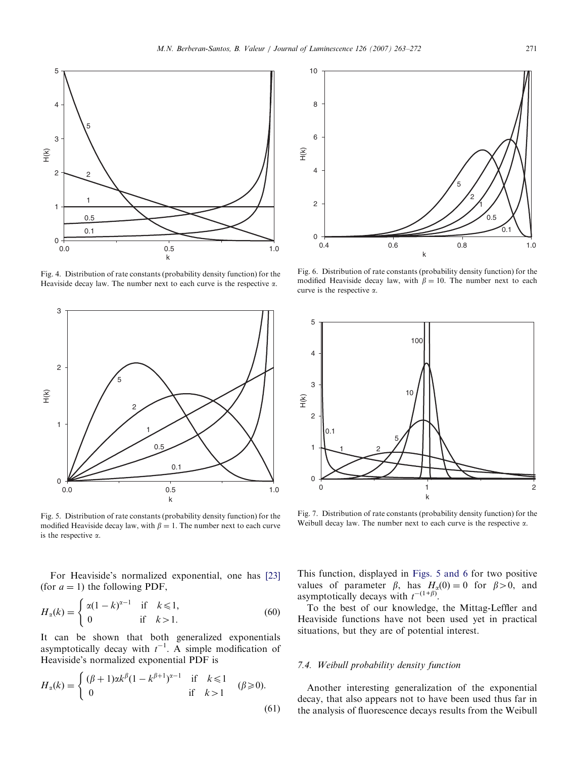<span id="page-8-0"></span>

Fig. 4. Distribution of rate constants (probability density function) for the Heaviside decay law. The number next to each curve is the respective  $\alpha$ .



Fig. 5. Distribution of rate constants (probability density function) for the modified Heaviside decay law, with  $\beta = 1$ . The number next to each curve is the respective  $\alpha$ .

For Heaviside's normalized exponential, one has [\[23\]](#page-9-0) (for  $a = 1$ ) the following PDF,

$$
H_{\alpha}(k) = \begin{cases} \alpha(1 - k)^{\alpha - 1} & \text{if } k \le 1, \\ 0 & \text{if } k > 1. \end{cases}
$$
 (60)

It can be shown that both generalized exponentials asymptotically decay with  $t^{-1}$ . A simple modification of Heaviside's normalized exponential PDF is

$$
H_{\alpha}(k) = \begin{cases} (\beta + 1)\alpha k^{\beta}(1 - k^{\beta + 1})^{\alpha - 1} & \text{if } k \le 1 \\ 0 & \text{if } k > 1 \end{cases} \quad (\beta \ge 0).
$$
\n(61)



Fig. 6. Distribution of rate constants (probability density function) for the modified Heaviside decay law, with  $\beta = 10$ . The number next to each curve is the respective  $\alpha$ .



Fig. 7. Distribution of rate constants (probability density function) for the Weibull decay law. The number next to each curve is the respective  $\alpha$ .

This function, displayed in Figs. 5 and 6 for two positive values of parameter  $\beta$ , has  $H_\alpha(0) = 0$  for  $\beta > 0$ , and asymptotically decays with  $t^{-(1+\beta)}$ .

To the best of our knowledge, the Mittag-Leffler and Heaviside functions have not been used yet in practical situations, but they are of potential interest.

## 7.4. Weibull probability density function

Another interesting generalization of the exponential decay, that also appears not to have been used thus far in the analysis of fluorescence decays results from the Weibull